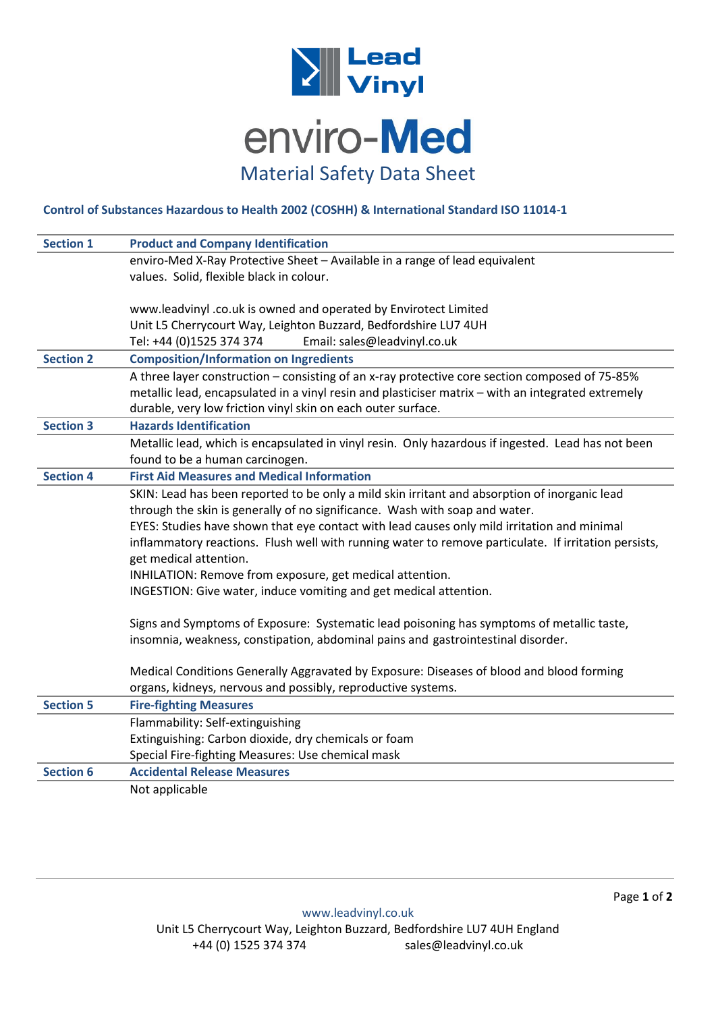

## **Control of Substances Hazardous to Health 2002 (COSHH) & International Standard ISO 11014-1**

| <b>Section 1</b> | <b>Product and Company Identification</b>                                                            |
|------------------|------------------------------------------------------------------------------------------------------|
|                  | enviro-Med X-Ray Protective Sheet - Available in a range of lead equivalent                          |
|                  | values. Solid, flexible black in colour.                                                             |
|                  |                                                                                                      |
|                  | www.leadvinyl .co.uk is owned and operated by Envirotect Limited                                     |
|                  | Unit L5 Cherrycourt Way, Leighton Buzzard, Bedfordshire LU7 4UH                                      |
|                  | Tel: +44 (0)1525 374 374<br>Email: sales@leadvinyl.co.uk                                             |
| <b>Section 2</b> | <b>Composition/Information on Ingredients</b>                                                        |
|                  | A three layer construction - consisting of an x-ray protective core section composed of 75-85%       |
|                  | metallic lead, encapsulated in a vinyl resin and plasticiser matrix - with an integrated extremely   |
|                  | durable, very low friction vinyl skin on each outer surface.                                         |
| <b>Section 3</b> | <b>Hazards Identification</b>                                                                        |
|                  | Metallic lead, which is encapsulated in vinyl resin. Only hazardous if ingested. Lead has not been   |
|                  | found to be a human carcinogen.                                                                      |
| <b>Section 4</b> | <b>First Aid Measures and Medical Information</b>                                                    |
|                  | SKIN: Lead has been reported to be only a mild skin irritant and absorption of inorganic lead        |
|                  | through the skin is generally of no significance. Wash with soap and water.                          |
|                  | EYES: Studies have shown that eye contact with lead causes only mild irritation and minimal          |
|                  | inflammatory reactions. Flush well with running water to remove particulate. If irritation persists, |
|                  | get medical attention.                                                                               |
|                  | INHILATION: Remove from exposure, get medical attention.                                             |
|                  | INGESTION: Give water, induce vomiting and get medical attention.                                    |
|                  | Signs and Symptoms of Exposure: Systematic lead poisoning has symptoms of metallic taste,            |
|                  | insomnia, weakness, constipation, abdominal pains and gastrointestinal disorder.                     |
|                  |                                                                                                      |
|                  | Medical Conditions Generally Aggravated by Exposure: Diseases of blood and blood forming             |
|                  | organs, kidneys, nervous and possibly, reproductive systems.                                         |
| <b>Section 5</b> | <b>Fire-fighting Measures</b>                                                                        |
|                  | Flammability: Self-extinguishing                                                                     |
|                  | Extinguishing: Carbon dioxide, dry chemicals or foam                                                 |
|                  | Special Fire-fighting Measures: Use chemical mask                                                    |
| <b>Section 6</b> | <b>Accidental Release Measures</b>                                                                   |
|                  | Not applicable                                                                                       |
|                  |                                                                                                      |